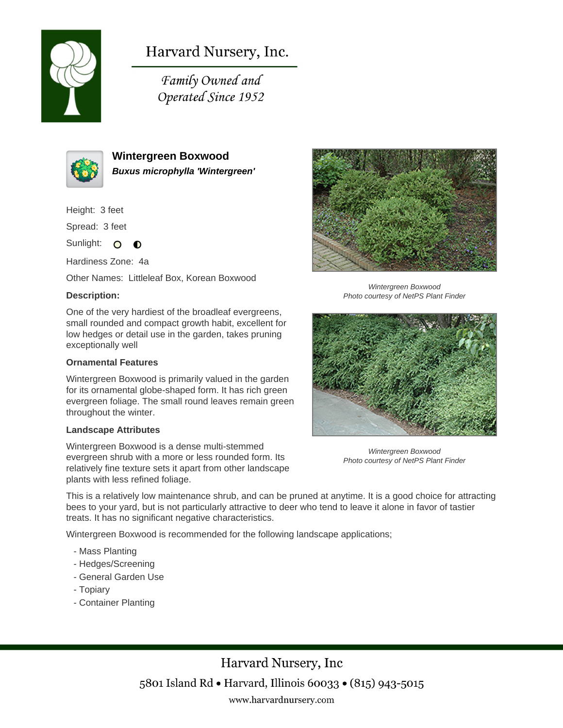

# Harvard Nursery, Inc.

Family Owned and Operated Since 1952



**Wintergreen Boxwood Buxus microphylla 'Wintergreen'**

Height: 3 feet

Spread: 3 feet

Sunlight: O  $\bullet$ 

Hardiness Zone: 4a

Other Names: Littleleaf Box, Korean Boxwood

### **Description:**

One of the very hardiest of the broadleaf evergreens, small rounded and compact growth habit, excellent for low hedges or detail use in the garden, takes pruning exceptionally well

#### **Ornamental Features**

Wintergreen Boxwood is primarily valued in the garden for its ornamental globe-shaped form. It has rich green evergreen foliage. The small round leaves remain green throughout the winter.

#### **Landscape Attributes**

Wintergreen Boxwood is a dense multi-stemmed evergreen shrub with a more or less rounded form. Its relatively fine texture sets it apart from other landscape plants with less refined foliage.



Wintergreen Boxwood Photo courtesy of NetPS Plant Finder



Wintergreen Boxwood Photo courtesy of NetPS Plant Finder

This is a relatively low maintenance shrub, and can be pruned at anytime. It is a good choice for attracting bees to your yard, but is not particularly attractive to deer who tend to leave it alone in favor of tastier treats. It has no significant negative characteristics.

Wintergreen Boxwood is recommended for the following landscape applications;

- Mass Planting
- Hedges/Screening
- General Garden Use
- Topiary
- Container Planting

Harvard Nursery, Inc 5801 Island Rd • Harvard, Illinois 60033 • (815) 943-5015 www.harvardnursery.com